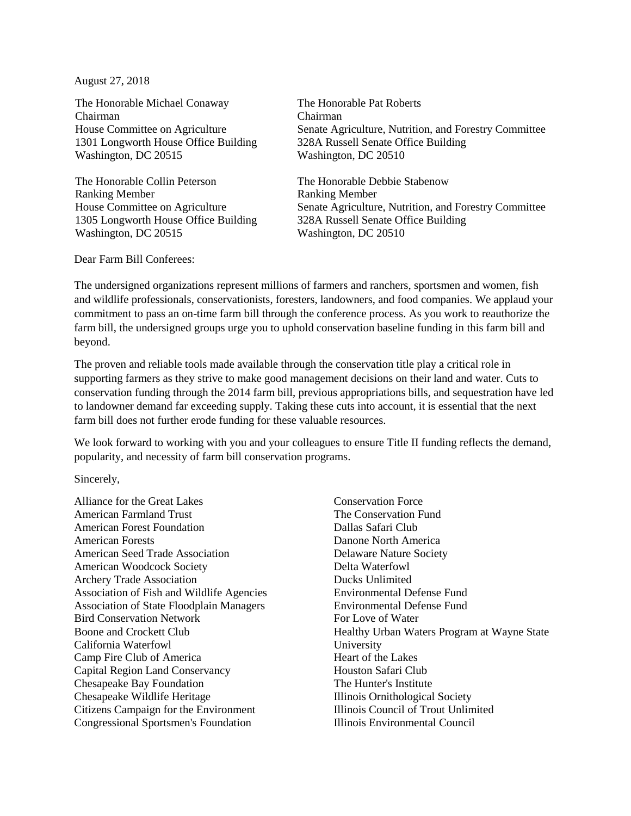August 27, 2018

The Honorable Michael Conaway Chairman House Committee on Agriculture 1301 Longworth House Office Building Washington, DC 20515

The Honorable Collin Peterson Ranking Member House Committee on Agriculture 1305 Longworth House Office Building Washington, DC 20515

The Honorable Pat Roberts Chairman Senate Agriculture, Nutrition, and Forestry Committee 328A Russell Senate Office Building Washington, DC 20510

The Honorable Debbie Stabenow Ranking Member Senate Agriculture, Nutrition, and Forestry Committee 328A Russell Senate Office Building Washington, DC 20510

Dear Farm Bill Conferees:

The undersigned organizations represent millions of farmers and ranchers, sportsmen and women, fish and wildlife professionals, conservationists, foresters, landowners, and food companies. We applaud your commitment to pass an on-time farm bill through the conference process. As you work to reauthorize the farm bill, the undersigned groups urge you to uphold conservation baseline funding in this farm bill and beyond.

The proven and reliable tools made available through the conservation title play a critical role in supporting farmers as they strive to make good management decisions on their land and water. Cuts to conservation funding through the 2014 farm bill, previous appropriations bills, and sequestration have led to landowner demand far exceeding supply. Taking these cuts into account, it is essential that the next farm bill does not further erode funding for these valuable resources.

We look forward to working with you and your colleagues to ensure Title II funding reflects the demand, popularity, and necessity of farm bill conservation programs.

Sincerely,

Alliance for the Great Lakes American Farmland Trust American Forest Foundation American Forests American Seed Trade Association American Woodcock Society Archery Trade Association Association of Fish and Wildlife Agencies Association of State Floodplain Managers Bird Conservation Network Boone and Crockett Club California Waterfowl Camp Fire Club of America Capital Region Land Conservancy Chesapeake Bay Foundation Chesapeake Wildlife Heritage Citizens Campaign for the Environment Congressional Sportsmen's Foundation

Conservation Force The Conservation Fund Dallas Safari Club Danone North America Delaware Nature Society Delta Waterfowl Ducks Unlimited Environmental Defense Fund Environmental Defense Fund For Love of Water Healthy Urban Waters Program at Wayne State University Heart of the Lakes Houston Safari Club The Hunter's Institute Illinois Ornithological Society Illinois Council of Trout Unlimited Illinois Environmental Council